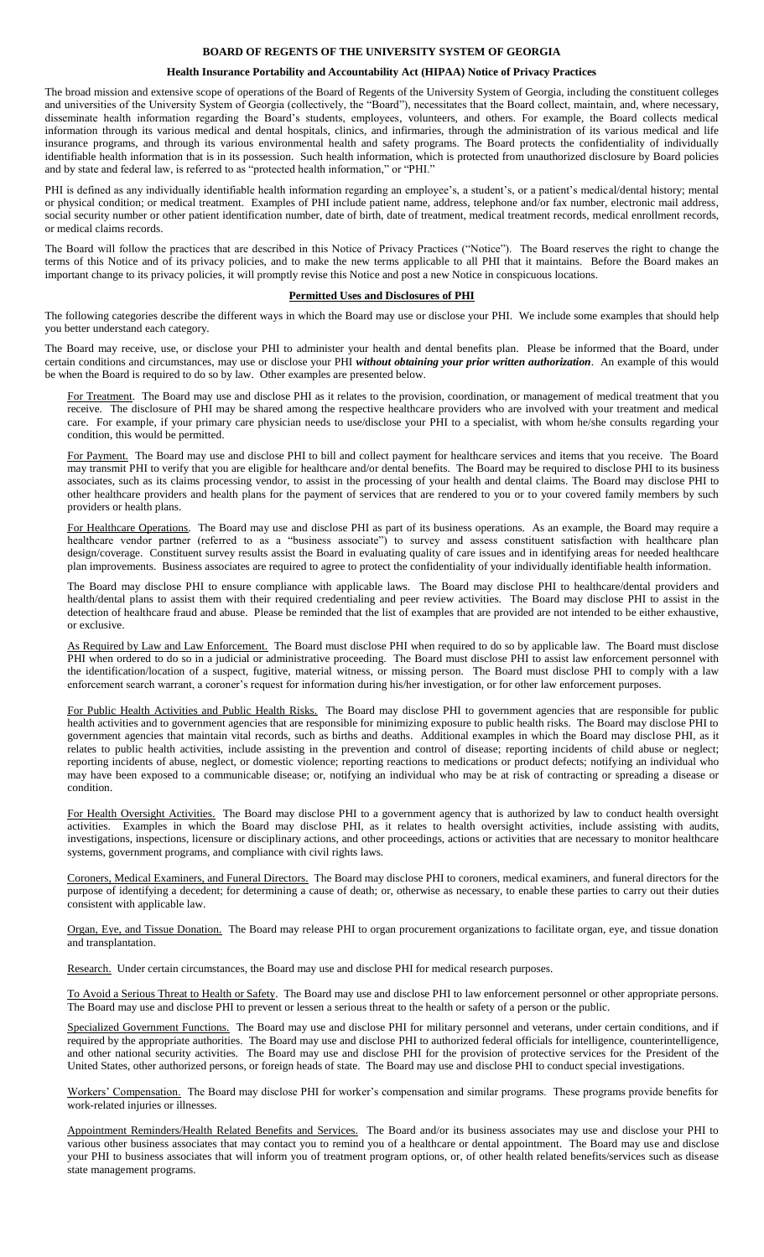# **BOARD OF REGENTS OF THE UNIVERSITY SYSTEM OF GEORGIA**

# **Health Insurance Portability and Accountability Act (HIPAA) Notice of Privacy Practices**

The broad mission and extensive scope of operations of the Board of Regents of the University System of Georgia, including the constituent colleges and universities of the University System of Georgia (collectively, the "Board"), necessitates that the Board collect, maintain, and, where necessary, disseminate health information regarding the Board's students, employees, volunteers, and others. For example, the Board collects medical information through its various medical and dental hospitals, clinics, and infirmaries, through the administration of its various medical and life insurance programs, and through its various environmental health and safety programs. The Board protects the confidentiality of individually identifiable health information that is in its possession. Such health information, which is protected from unauthorized disclosure by Board policies and by state and federal law, is referred to as "protected health information," or "PHI."

PHI is defined as any individually identifiable health information regarding an employee's, a student's, or a patient's medical/dental history; mental or physical condition; or medical treatment. Examples of PHI include patient name, address, telephone and/or fax number, electronic mail address, social security number or other patient identification number, date of birth, date of treatment, medical treatment records, medical enrollment records, or medical claims records.

The Board will follow the practices that are described in this Notice of Privacy Practices ("Notice"). The Board reserves the right to change the terms of this Notice and of its privacy policies, and to make the new terms applicable to all PHI that it maintains. Before the Board makes an important change to its privacy policies, it will promptly revise this Notice and post a new Notice in conspicuous locations.

#### **Permitted Uses and Disclosures of PHI**

The following categories describe the different ways in which the Board may use or disclose your PHI. We include some examples that should help you better understand each category.

The Board may receive, use, or disclose your PHI to administer your health and dental benefits plan. Please be informed that the Board, under certain conditions and circumstances, may use or disclose your PHI *without obtaining your prior written authorization*. An example of this would be when the Board is required to do so by law. Other examples are presented below.

For Treatment. The Board may use and disclose PHI as it relates to the provision, coordination, or management of medical treatment that you receive. The disclosure of PHI may be shared among the respective healthcare providers who are involved with your treatment and medical care. For example, if your primary care physician needs to use/disclose your PHI to a specialist, with whom he/she consults regarding your condition, this would be permitted.

For Payment. The Board may use and disclose PHI to bill and collect payment for healthcare services and items that you receive. The Board may transmit PHI to verify that you are eligible for healthcare and/or dental benefits. The Board may be required to disclose PHI to its business associates, such as its claims processing vendor, to assist in the processing of your health and dental claims. The Board may disclose PHI to other healthcare providers and health plans for the payment of services that are rendered to you or to your covered family members by such providers or health plans.

For Healthcare Operations. The Board may use and disclose PHI as part of its business operations. As an example, the Board may require a healthcare vendor partner (referred to as a "business associate") to survey and assess constituent satisfaction with healthcare plan design/coverage. Constituent survey results assist the Board in evaluating quality of care issues and in identifying areas for needed healthcare plan improvements. Business associates are required to agree to protect the confidentiality of your individually identifiable health information.

The Board may disclose PHI to ensure compliance with applicable laws. The Board may disclose PHI to healthcare/dental providers and health/dental plans to assist them with their required credentialing and peer review activities. The Board may disclose PHI to assist in the detection of healthcare fraud and abuse. Please be reminded that the list of examples that are provided are not intended to be either exhaustive, or exclusive.

As Required by Law and Law Enforcement. The Board must disclose PHI when required to do so by applicable law. The Board must disclose PHI when ordered to do so in a judicial or administrative proceeding. The Board must disclose PHI to assist law enforcement personnel with the identification/location of a suspect, fugitive, material witness, or missing person. The Board must disclose PHI to comply with a law enforcement search warrant, a coroner's request for information during his/her investigation, or for other law enforcement purposes.

For Public Health Activities and Public Health Risks. The Board may disclose PHI to government agencies that are responsible for public health activities and to government agencies that are responsible for minimizing exposure to public health risks. The Board may disclose PHI to government agencies that maintain vital records, such as births and deaths. Additional examples in which the Board may disclose PHI, as it relates to public health activities, include assisting in the prevention and control of disease; reporting incidents of child abuse or neglect; reporting incidents of abuse, neglect, or domestic violence; reporting reactions to medications or product defects; notifying an individual who may have been exposed to a communicable disease; or, notifying an individual who may be at risk of contracting or spreading a disease or condition.

For Health Oversight Activities. The Board may disclose PHI to a government agency that is authorized by law to conduct health oversight activities. Examples in which the Board may disclose PHI, as it relates to health oversight activities, include assisting with audits, investigations, inspections, licensure or disciplinary actions, and other proceedings, actions or activities that are necessary to monitor healthcare systems, government programs, and compliance with civil rights laws.

Coroners, Medical Examiners, and Funeral Directors. The Board may disclose PHI to coroners, medical examiners, and funeral directors for the purpose of identifying a decedent; for determining a cause of death; or, otherwise as necessary, to enable these parties to carry out their duties consistent with applicable law.

Organ, Eye, and Tissue Donation. The Board may release PHI to organ procurement organizations to facilitate organ, eye, and tissue donation and transplantation.

Research. Under certain circumstances, the Board may use and disclose PHI for medical research purposes.

To Avoid a Serious Threat to Health or Safety. The Board may use and disclose PHI to law enforcement personnel or other appropriate persons. The Board may use and disclose PHI to prevent or lessen a serious threat to the health or safety of a person or the public.

Specialized Government Functions. The Board may use and disclose PHI for military personnel and veterans, under certain conditions, and if required by the appropriate authorities. The Board may use and disclose PHI to authorized federal officials for intelligence, counterintelligence, and other national security activities. The Board may use and disclose PHI for the provision of protective services for the President of the United States, other authorized persons, or foreign heads of state. The Board may use and disclose PHI to conduct special investigations.

Workers' Compensation. The Board may disclose PHI for worker's compensation and similar programs. These programs provide benefits for work-related injuries or illnesses.

Appointment Reminders/Health Related Benefits and Services. The Board and/or its business associates may use and disclose your PHI to various other business associates that may contact you to remind you of a healthcare or dental appointment. The Board may use and disclose your PHI to business associates that will inform you of treatment program options, or, of other health related benefits/services such as disease state management programs.